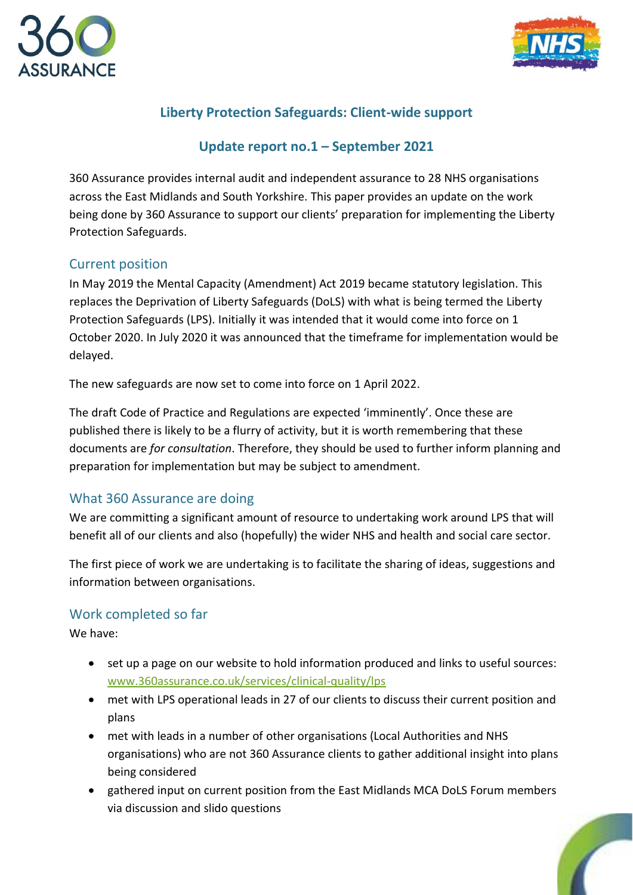



# **Liberty Protection Safeguards: Client-wide support**

## **Update report no.1 – September 2021**

360 Assurance provides internal audit and independent assurance to 28 NHS organisations across the East Midlands and South Yorkshire. This paper provides an update on the work being done by 360 Assurance to support our clients' preparation for implementing the Liberty Protection Safeguards.

#### Current position

In May 2019 the Mental Capacity (Amendment) Act 2019 became statutory legislation. This replaces the Deprivation of Liberty Safeguards (DoLS) with what is being termed the Liberty Protection Safeguards (LPS). Initially it was intended that it would come into force on 1 October 2020. In July 2020 it was announced that the timeframe for implementation would be delayed.

The new safeguards are now set to come into force on 1 April 2022.

The draft Code of Practice and Regulations are expected 'imminently'. Once these are published there is likely to be a flurry of activity, but it is worth remembering that these documents are *for consultation*. Therefore, they should be used to further inform planning and preparation for implementation but may be subject to amendment.

### What 360 Assurance are doing

We are committing a significant amount of resource to undertaking work around LPS that will benefit all of our clients and also (hopefully) the wider NHS and health and social care sector.

The first piece of work we are undertaking is to facilitate the sharing of ideas, suggestions and information between organisations.

### Work completed so far

We have:

- set up a page on our website to hold information produced and links to useful sources: [www.360assurance.co.uk/services/clinical-quality/lps](http://www.360assurance.co.uk/services/clinical-quality/lps)
- met with LPS operational leads in 27 of our clients to discuss their current position and plans
- met with leads in a number of other organisations (Local Authorities and NHS organisations) who are not 360 Assurance clients to gather additional insight into plans being considered
- gathered input on current position from the East Midlands MCA DoLS Forum members via discussion and slido questions